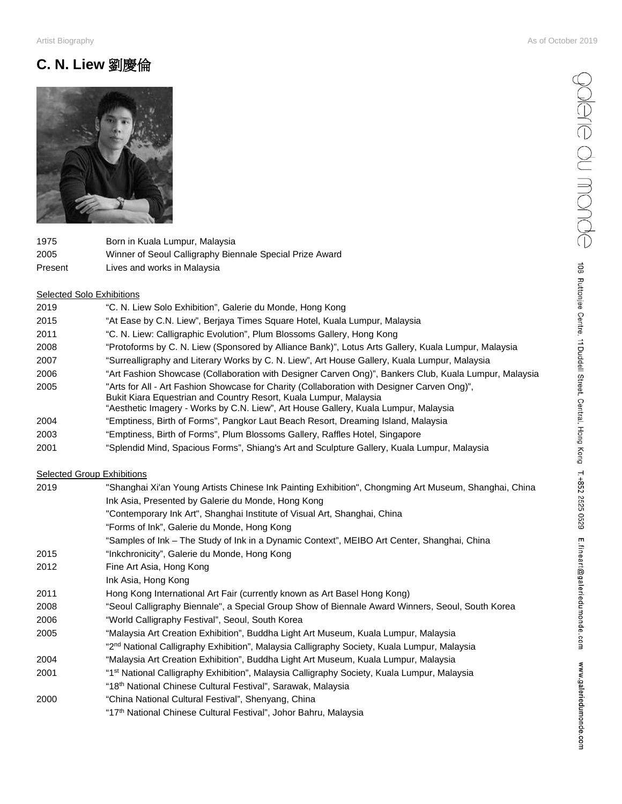# **C. N. Liew** 劉慶倫



| 1975    | Born in Kuala Lumpur, Malaysia                           |
|---------|----------------------------------------------------------|
| 2005    | Winner of Seoul Calligraphy Biennale Special Prize Award |
| Present | Lives and works in Malaysia                              |

### Selected Solo Exhibitions

| 2019 | "C. N. Liew Solo Exhibition", Galerie du Monde, Hong Kong                                                                                                                                                                                               |
|------|---------------------------------------------------------------------------------------------------------------------------------------------------------------------------------------------------------------------------------------------------------|
| 2015 | "At Ease by C.N. Liew", Berjaya Times Square Hotel, Kuala Lumpur, Malaysia                                                                                                                                                                              |
| 2011 | "C. N. Liew: Calligraphic Evolution", Plum Blossoms Gallery, Hong Kong                                                                                                                                                                                  |
| 2008 | "Protoforms by C. N. Liew (Sponsored by Alliance Bank)", Lotus Arts Gallery, Kuala Lumpur, Malaysia                                                                                                                                                     |
| 2007 | "Surrealligraphy and Literary Works by C. N. Liew", Art House Gallery, Kuala Lumpur, Malaysia                                                                                                                                                           |
| 2006 | "Art Fashion Showcase (Collaboration with Designer Carven Ong)", Bankers Club, Kuala Lumpur, Malaysia                                                                                                                                                   |
| 2005 | "Arts for All - Art Fashion Showcase for Charity (Collaboration with Designer Carven Ong)",<br>Bukit Kiara Equestrian and Country Resort, Kuala Lumpur, Malaysia<br>"Aesthetic Imagery - Works by C.N. Liew", Art House Gallery, Kuala Lumpur, Malaysia |
| 2004 | "Emptiness, Birth of Forms", Pangkor Laut Beach Resort, Dreaming Island, Malaysia                                                                                                                                                                       |
| 2003 | "Emptiness, Birth of Forms", Plum Blossoms Gallery, Raffles Hotel, Singapore                                                                                                                                                                            |
| 2001 | "Splendid Mind, Spacious Forms", Shiang's Art and Sculpture Gallery, Kuala Lumpur, Malaysia                                                                                                                                                             |

## **Selected Group Exhibitions**

| 2019 | "Shanghai Xi'an Young Artists Chinese Ink Painting Exhibition", Chongming Art Museum, Shanghai, China   |
|------|---------------------------------------------------------------------------------------------------------|
|      | Ink Asia, Presented by Galerie du Monde, Hong Kong                                                      |
|      | "Contemporary Ink Art", Shanghai Institute of Visual Art, Shanghai, China                               |
|      | "Forms of Ink", Galerie du Monde, Hong Kong                                                             |
|      | "Samples of Ink – The Study of Ink in a Dynamic Context", MEIBO Art Center, Shanghai, China             |
| 2015 | "Inkchronicity", Galerie du Monde, Hong Kong                                                            |
| 2012 | Fine Art Asia, Hong Kong                                                                                |
|      | Ink Asia, Hong Kong                                                                                     |
| 2011 | Hong Kong International Art Fair (currently known as Art Basel Hong Kong)                               |
| 2008 | "Seoul Calligraphy Biennale", a Special Group Show of Biennale Award Winners, Seoul, South Korea        |
| 2006 | "World Calligraphy Festival", Seoul, South Korea                                                        |
| 2005 | "Malaysia Art Creation Exhibition", Buddha Light Art Museum, Kuala Lumpur, Malaysia                     |
|      | "2 <sup>nd</sup> National Calligraphy Exhibition", Malaysia Calligraphy Society, Kuala Lumpur, Malaysia |
| 2004 | "Malaysia Art Creation Exhibition", Buddha Light Art Museum, Kuala Lumpur, Malaysia                     |
| 2001 | "1 <sup>st</sup> National Calligraphy Exhibition", Malaysia Calligraphy Society, Kuala Lumpur, Malaysia |
|      | "18th National Chinese Cultural Festival", Sarawak, Malaysia                                            |
| 2000 | "China National Cultural Festival", Shenyang, China                                                     |
|      | "17th National Chinese Cultural Festival", Johor Bahru, Malaysia                                        |
|      |                                                                                                         |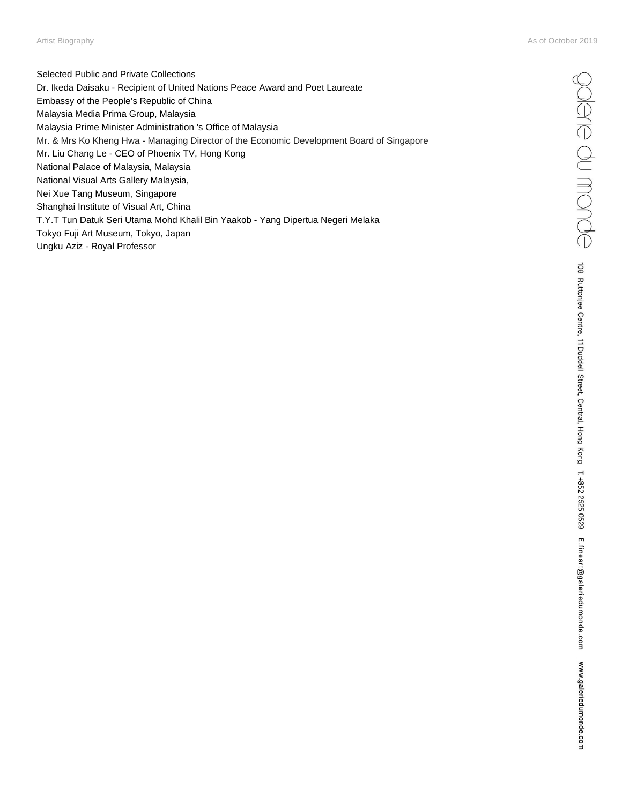Selected Public and Private Collections Dr. Ikeda Daisaku - Recipient of United Nations Peace Award and Poet Laureate Embassy of the People's Republic of China Malaysia Media Prima Group, Malaysia Malaysia Prime Minister Administration 's Office of Malaysia Mr. & Mrs Ko Kheng Hwa - Managing Director of the Economic Development Board of Singapore Mr. Liu Chang Le - CEO of Phoenix TV, Hong Kong National Palace of Malaysia, Malaysia National Visual Arts Gallery Malaysia, Nei Xue Tang Museum, Singapore Shanghai Institute of Visual Art, China T.Y.T Tun Datuk Seri Utama Mohd Khalil Bin Yaakob - Yang Dipertua Negeri Melaka Tokyo Fuji Art Museum, Tokyo, Japan Ungku Aziz - Royal Professor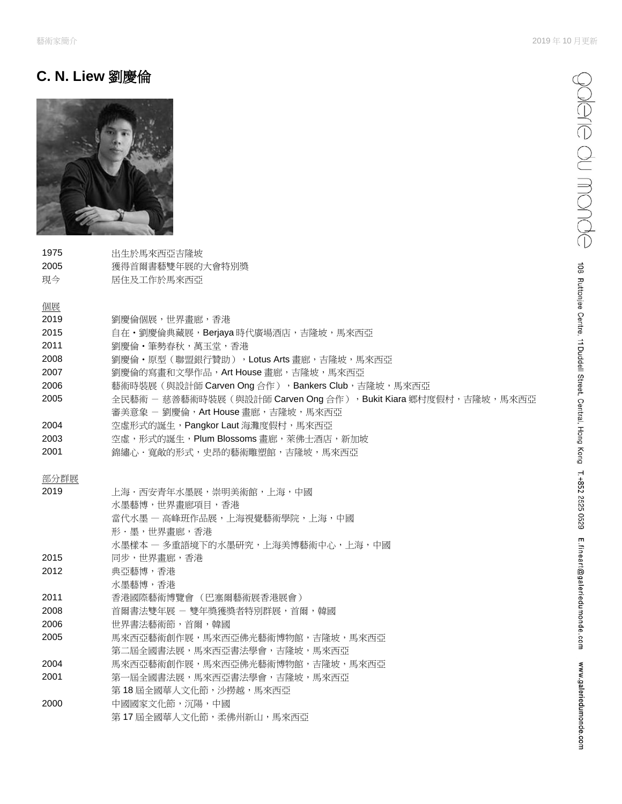# **C. N. Liew** 劉慶倫



1975 出生於馬來西亞吉隆坡 2005 獲得首爾書藝雙年展的大會特別獎 現今 居住及工作於馬來西亞

# 個展

### 2019 劉慶倫個展,世界畫廊,香港

- 2015 自在·劉慶倫典藏展,Berjaya 時代廣場酒店,吉隆坡,馬來西亞
- 2011 劉慶倫‧筆勢春秋,萬玉堂,香港
- 2008 劉慶倫·原型(聯盟銀行贊助), Lotus Arts 畫廊, 吉隆坡, 馬來西亞
- 2007 劉慶倫的寫畫和文學作品,Art House 畫廊,吉隆坡,馬來西亞
- 2006 藝術時裝展 (與設計師 Carven Ong 合作), Bankers Club,吉隆坡,馬來西亞
- 2005 全民藝術 慈善藝術時裝展 (與設計師 Carven Ong 合作), Bukit Kiara 鄉村度假村,吉隆坡,馬來西亞
- 審美意象 劉慶倫, Art House 畫廊, 吉隆坡, 馬來西亞
- 2004 空虛形式的誕生, Pangkor Laut 海灘度假村, 馬來西亞
- 2003 空虛,形式的誕生,Plum Blossoms 畫廊,萊佛士酒店,新加坡
- 2001 **编繡心·寬敞的形式,史昂的藝術雕塑館,吉隆坡,馬來西亞**

### 部分群展

| 2019 | 上海・西安青年水墨展,崇明美術館,上海,中國           |
|------|----------------------------------|
|      | 水墨藝博,世界書廊項目,香港                   |
|      | 當代水墨 — 高峰班作品展,上海視覺藝術學院,上海,中國     |
|      | 形・墨,世界書廊,香港                      |
|      | 水墨樣本 ― 多重語境下的水墨研究,上海美博藝術中心,上海,中國 |
| 2015 | 同步,世界畫廊,香港                       |
| 2012 | 典亞藝博,香港                          |
|      | 水墨藝博,香港                          |
| 2011 | 香港國際藝術博覽會 (巴塞爾藝術展香港展會)           |
| 2008 | 首爾書法雙年展 - 雙年獎獲獎者特別群展,首爾,韓國       |
| 2006 | 世界書法藝術節,首爾,韓國                    |
| 2005 | 馬來西亞藝術創作展,馬來西亞佛光藝術博物館,吉降坡,馬來西亞   |
|      | 第二屆全國書法展,馬來西亞書法學會,吉隆坡,馬來西亞       |
| 2004 | 馬來西亞藝術創作展,馬來西亞佛光藝術博物館,吉降坡,馬來西亞   |
| 2001 | 第一屆全國書法展,馬來西亞書法學會,吉隆坡,馬來西亞       |
|      | 第 18 届全國華人文化節,沙撈越,馬來西亞           |
| 2000 | 中國國家文化節,沉陽,中國                    |
|      | 第17屆全國華人文化節,柔佛州新山,馬來西亞           |